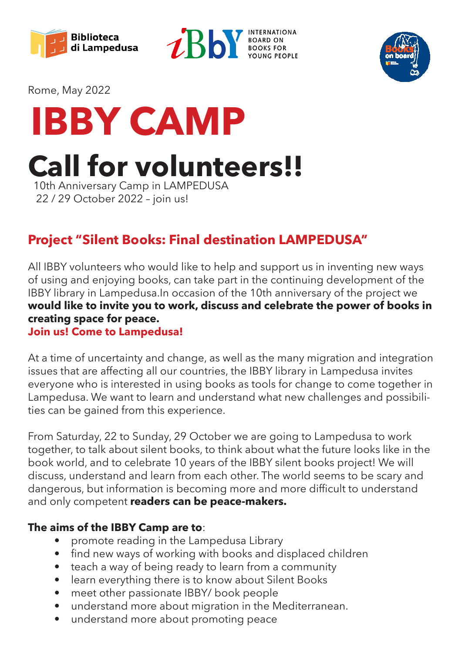





Rome, May 2022



**Call for volunteers!!**

 10th Anniversary Camp in LAMPEDUSA 22 / 29 October 2022 – join us!

### **Project "Silent Books: Final destination LAMPEDUSA"**

All IBBY volunteers who would like to help and support us in inventing new ways of using and enjoying books, can take part in the continuing development of the IBBY library in Lampedusa.In occasion of the 10th anniversary of the project we **would like to invite you to work, discuss and celebrate the power of books in creating space for peace.**

#### **Join us! Come to Lampedusa!**

At a time of uncertainty and change, as well as the many migration and integration issues that are affecting all our countries, the IBBY library in Lampedusa invites everyone who is interested in using books as tools for change to come together in Lampedusa. We want to learn and understand what new challenges and possibilities can be gained from this experience.

From Saturday, 22 to Sunday, 29 October we are going to Lampedusa to work together, to talk about silent books, to think about what the future looks like in the book world, and to celebrate 10 years of the IBBY silent books project! We will discuss, understand and learn from each other. The world seems to be scary and dangerous, but information is becoming more and more difficult to understand and only competent **readers can be peace-makers.** 

#### **The aims of the IBBY Camp are to**:

- promote reading in the Lampedusa Library
- find new ways of working with books and displaced children
- teach a way of being ready to learn from a community
- learn everything there is to know about Silent Books
- meet other passionate IBBY/ book people
- understand more about migration in the Mediterranean.
- understand more about promoting peace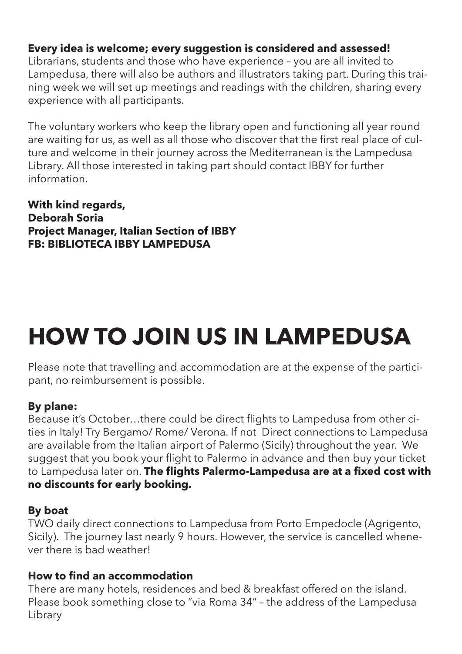#### **Every idea is welcome; every suggestion is considered and assessed!**

Librarians, students and those who have experience – you are all invited to Lampedusa, there will also be authors and illustrators taking part. During this training week we will set up meetings and readings with the children, sharing every experience with all participants.

The voluntary workers who keep the library open and functioning all year round are waiting for us, as well as all those who discover that the first real place of culture and welcome in their journey across the Mediterranean is the Lampedusa Library. All those interested in taking part should contact IBBY for further information.

**With kind regards, Deborah Soria Project Manager, Italian Section of IBBY FB: BIBLIOTECA IBBY LAMPEDUSA** 

# **HOW TO JOIN US IN LAMPEDUSA**

Please note that travelling and accommodation are at the expense of the participant, no reimbursement is possible.

#### **By plane:**

Because it's October…there could be direct flights to Lampedusa from other cities in Italy! Try Bergamo/ Rome/ Verona. If not Direct connections to Lampedusa are available from the Italian airport of Palermo (Sicily) throughout the year. We suggest that you book your flight to Palermo in advance and then buy your ticket to Lampedusa later on. **The flights Palermo-Lampedusa are at a fixed cost with no discounts for early booking.**

#### **By boat**

TWO daily direct connections to Lampedusa from Porto Empedocle (Agrigento, Sicily). The journey last nearly 9 hours. However, the service is cancelled whenever there is bad weather!

#### **How to find an accommodation**

There are many hotels, residences and bed & breakfast offered on the island. Please book something close to "via Roma 34" – the address of the Lampedusa Library